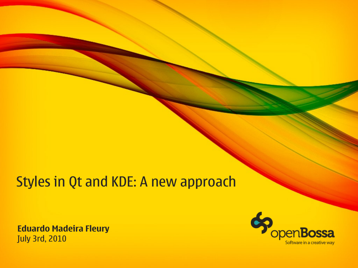#### Styles in Qt and KDE: A new approach

**Eduardo Madeira Fleury** July 3rd, 2010

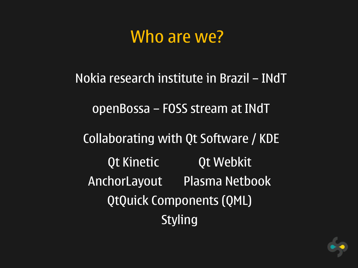### Who are we?

Nokia research institute in Brazil – INdT openBossa – FOSS stream at INdT Collaborating with Qt Software / KDE Qt Kinetic **Qt Webkit** AnchorLayout Plasma Netbook QtQuick Components (QML) Styling

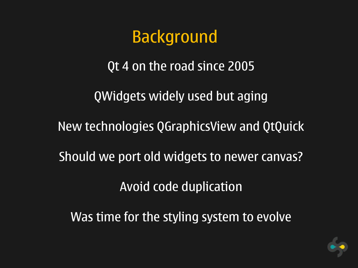### Background

Qt 4 on the road since 2005

QWidgets widely used but aging

New technologies QGraphicsView and QtQuick

Should we port old widgets to newer canvas?

Avoid code duplication

Was time for the styling system to evolve

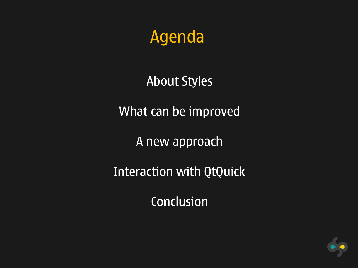### Agenda

#### About Styles

What can be improved

A new approach

Interaction with QtQuick

Conclusion

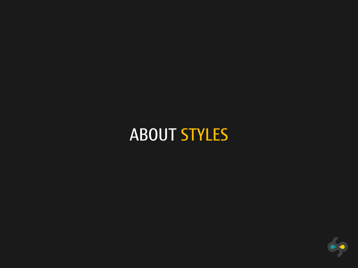### ABOUT STYLES

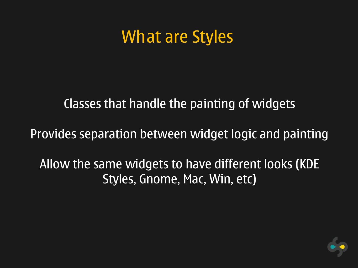#### What are Styles

#### Classes that handle the painting of widgets

Provides separation between widget logic and painting

Allow the same widgets to have different looks (KDE Styles, Gnome, Mac, Win, etc)

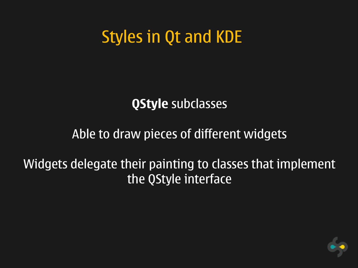### Styles in Qt and KDE

#### **QStyle** subclasses

#### Able to draw pieces of different widgets

#### Widgets delegate their painting to classes that implement the QStyle interface

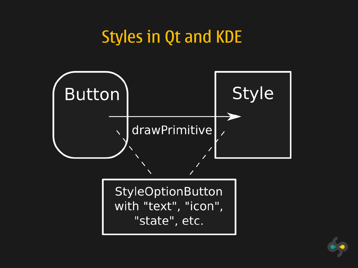#### Styles in Qt and KDE



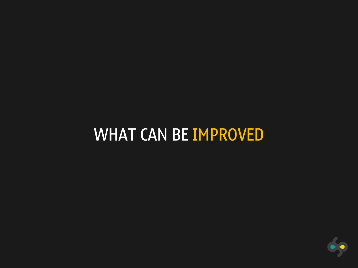### WHAT CAN BE IMPROVED

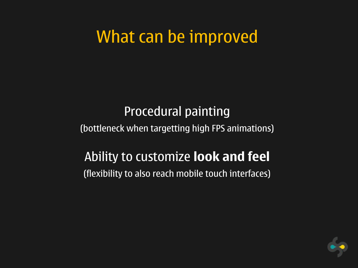### What can be improved

#### Procedural painting (bottleneck when targetting high FPS animations)

#### Ability to customize **look and feel** (flexibility to also reach mobile touch interfaces)

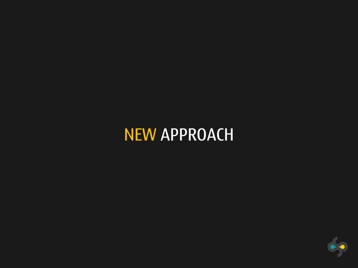### NEW APPROACH

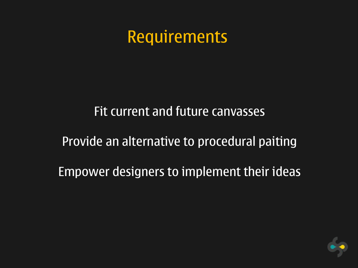### Requirements

# Fit current and future canvasses Provide an alternative to procedural paiting Empower designers to implement their ideas

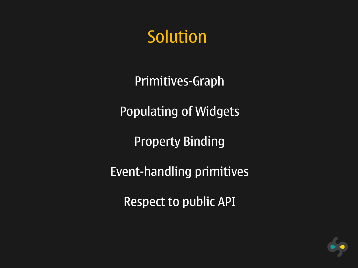### Solution

Primitives-Graph

Populating of Widgets

Property Binding

Event-handling primitives

Respect to public API

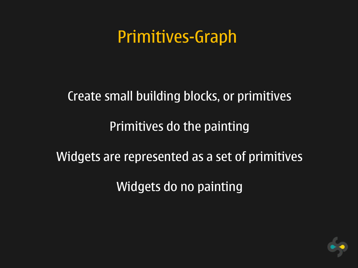### Primitives-Graph

#### Create small building blocks, or primitives

#### Primitives do the painting

#### Widgets are represented as a set of primitives

Widgets do no painting

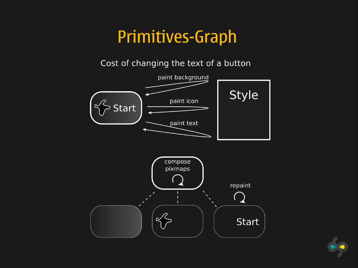### Primitives-Graph



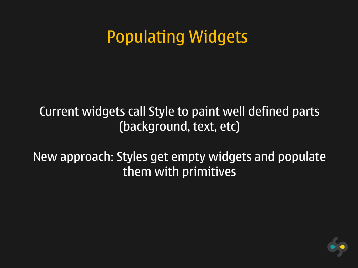### Populating Widgets

#### Current widgets call Style to paint well defined parts (background, text, etc)

#### New approach: Styles get empty widgets and populate them with primitives

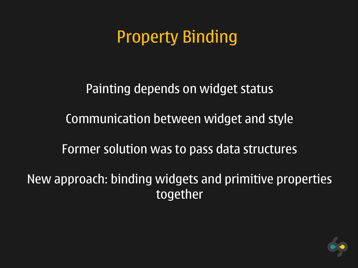### Property Binding

Painting depends on widget status Communication between widget and style Former solution was to pass data structures

New approach: binding widgets and primitive properties together

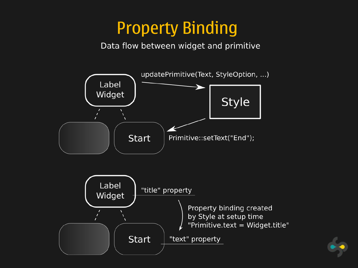### Property Binding

Data flow between widget and primitive



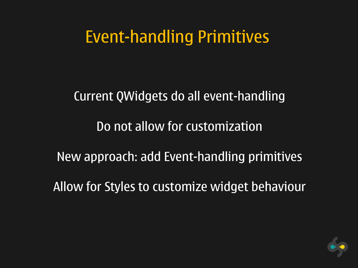### Event-handling Primitives

Current QWidgets do all event-handling Do not allow for customization New approach: add Event-handling primitives Allow for Styles to customize widget behaviour

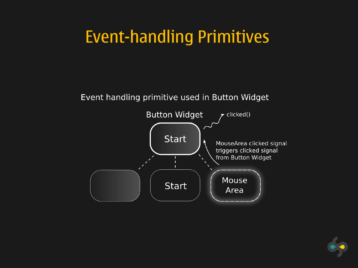### Event-handling Primitives

#### Event handling primitive used in Button Widget



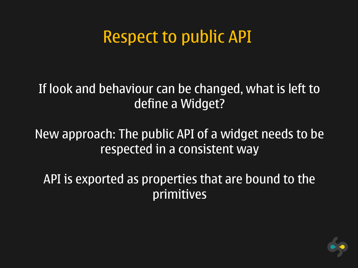### Respect to public API

#### If look and behaviour can be changed, what is left to define a Widget?

#### New approach: The public API of a widget needs to be respected in a consistent way

API is exported as properties that are bound to the primitives

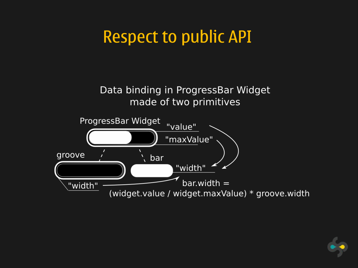### Respect to public API

Data binding in ProgressBar Widget made of two primitives



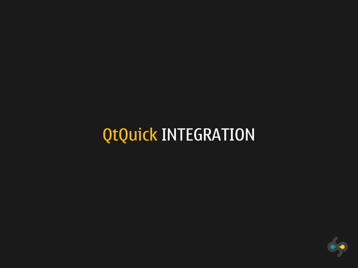## QtQuick INTEGRATION

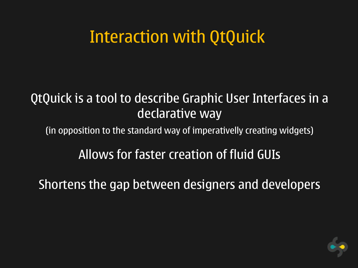### Interaction with QtQuick

#### QtQuick is a tool to describe Graphic User Interfaces in a declarative way

(in opposition to the standard way of imperativelly creating widgets)

#### Allows for faster creation of fluid GUIs

Shortens the gap between designers and developers

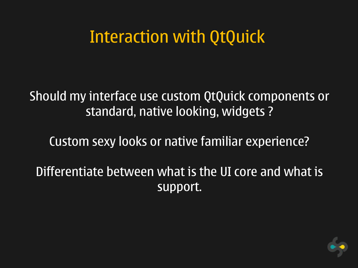### Interaction with QtQuick

Should my interface use custom QtQuick components or standard, native looking, widgets ?

Custom sexy looks or native familiar experience?

Differentiate between what is the UI core and what is support.

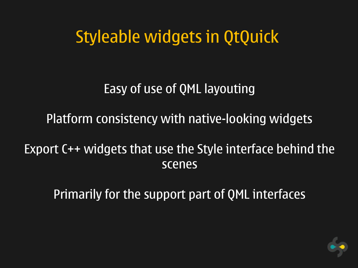### Styleable widgets in QtQuick

#### Easy of use of QML layouting

#### Platform consistency with native-looking widgets

#### Export C++ widgets that use the Style interface behind the scenes

Primarily for the support part of QML interfaces

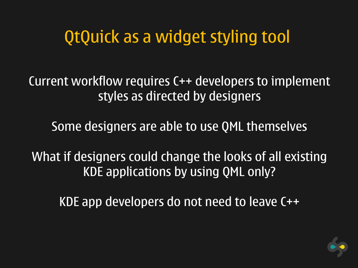### QtQuick as a widget styling tool

Current workflow requires C++ developers to implement styles as directed by designers

Some designers are able to use QML themselves

What if designers could change the looks of all existing KDE applications by using QML only?

KDE app developers do not need to leave C++

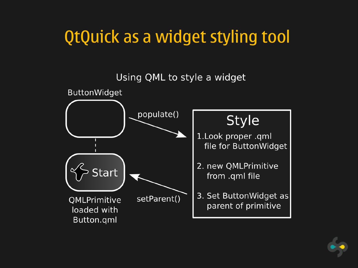### QtQuick as a widget styling tool



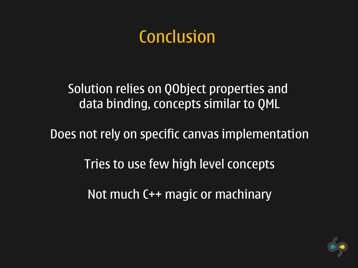### **Conclusion**

Solution relies on QObject properties and data binding, concepts similar to QML

Does not rely on specific canvas implementation

Tries to use few high level concepts

Not much C++ magic or machinary

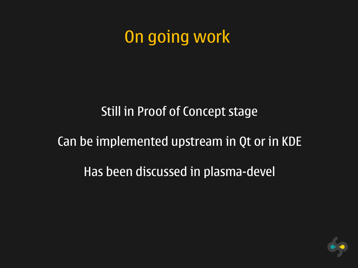On going work

#### Still in Proof of Concept stage

#### Can be implemented upstream in Qt or in KDE

Has been discussed in plasma-devel